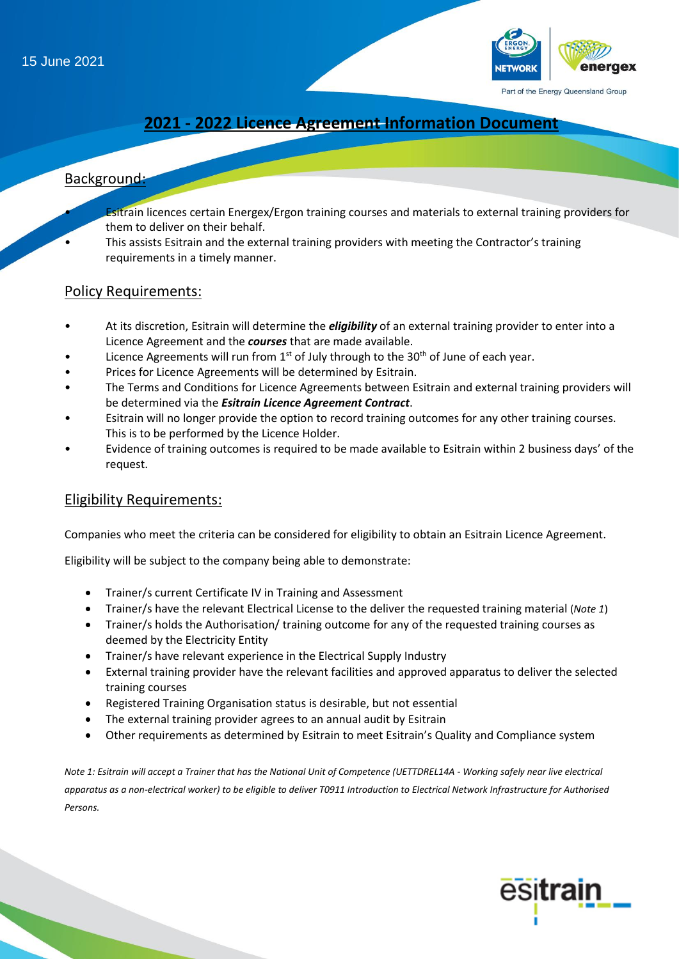15 June 2021



# **2021 - 2022 Licence Agreement Information Document**

# Background:

- **Esitrain licences certain Energex/Ergon training courses and materials to external training providers for** them to deliver on their behalf.
- This assists Esitrain and the external training providers with meeting the Contractor's training requirements in a timely manner.

#### Policy Requirements:

- At its discretion, Esitrain will determine the *eligibility* of an external training provider to enter into a Licence Agreement and the *courses* that are made available.
- Licence Agreements will run from  $1<sup>st</sup>$  of July through to the 30<sup>th</sup> of June of each year.
- Prices for Licence Agreements will be determined by Esitrain.
- The Terms and Conditions for Licence Agreements between Esitrain and external training providers will be determined via the *Esitrain Licence Agreement Contract*.
- Esitrain will no longer provide the option to record training outcomes for any other training courses. This is to be performed by the Licence Holder.
- Evidence of training outcomes is required to be made available to Esitrain within 2 business days' of the request.

#### Eligibility Requirements:

Companies who meet the criteria can be considered for eligibility to obtain an Esitrain Licence Agreement.

Eligibility will be subject to the company being able to demonstrate:

- Trainer/s current Certificate IV in Training and Assessment
- Trainer/s have the relevant Electrical License to the deliver the requested training material (*Note 1*)
- Trainer/s holds the Authorisation/ training outcome for any of the requested training courses as deemed by the Electricity Entity
- Trainer/s have relevant experience in the Electrical Supply Industry
- External training provider have the relevant facilities and approved apparatus to deliver the selected training courses
- Registered Training Organisation status is desirable, but not essential
- The external training provider agrees to an annual audit by Esitrain
- Other requirements as determined by Esitrain to meet Esitrain's Quality and Compliance system

*Note 1: Esitrain will accept a Trainer that has the National Unit of Competence (UETTDREL14A - Working safely near live electrical apparatus as a non-electrical worker) to be eligible to deliver T0911 Introduction to Electrical Network Infrastructure for Authorised Persons.*